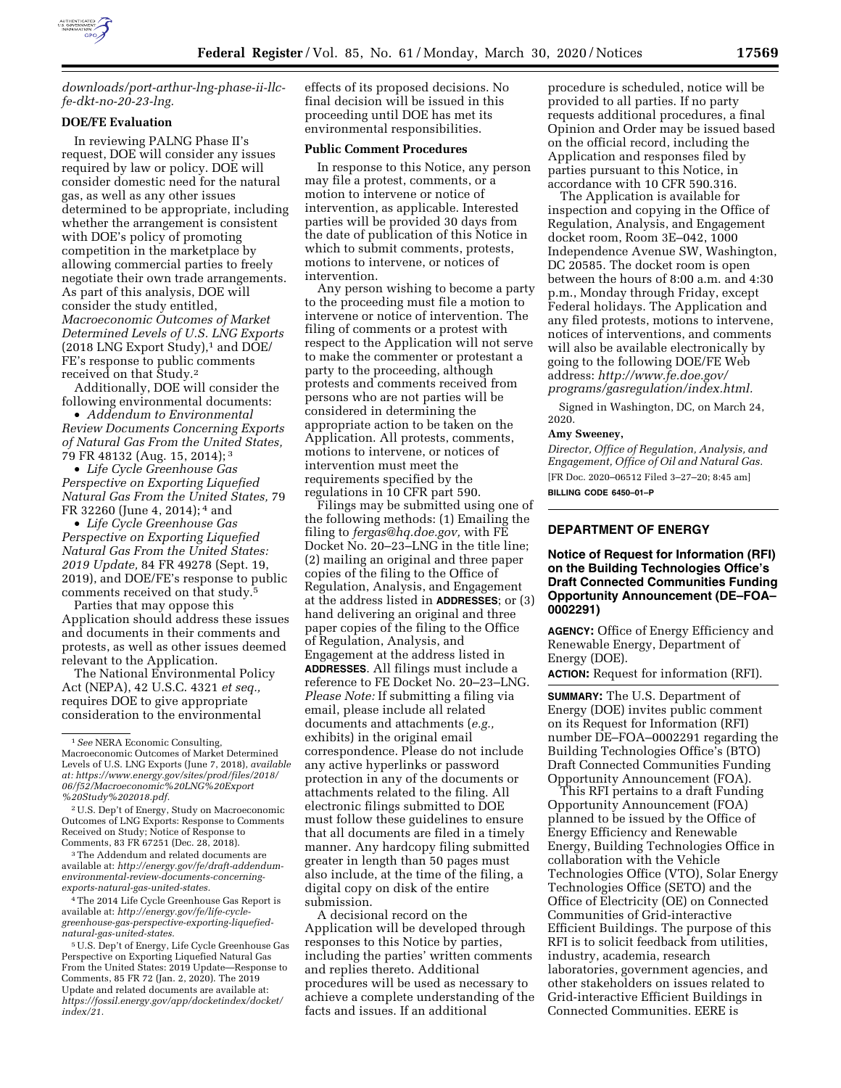

*[downloads/port-arthur-lng-phase-ii-llc](https://www.energy.gov/fe/downloads/port-arthur-lng-phase-ii-llc-fe-dkt-no-20-23-lng)[fe-dkt-no-20-23-lng.](https://www.energy.gov/fe/downloads/port-arthur-lng-phase-ii-llc-fe-dkt-no-20-23-lng)* 

# **DOE/FE Evaluation**

In reviewing PALNG Phase II's request, DOE will consider any issues required by law or policy. DOE will consider domestic need for the natural gas, as well as any other issues determined to be appropriate, including whether the arrangement is consistent with DOE's policy of promoting competition in the marketplace by allowing commercial parties to freely negotiate their own trade arrangements. As part of this analysis, DOE will consider the study entitled, *Macroeconomic Outcomes of Market Determined Levels of U.S. LNG Exports*   $(2018$  LNG Export Study), $1$  and DOE/ FE's response to public comments received on that Study.2

Additionally, DOE will consider the following environmental documents:

• *Addendum to Environmental Review Documents Concerning Exports of Natural Gas From the United States,*  79 FR 48132 (Aug. 15, 2014); 3

• *Life Cycle Greenhouse Gas Perspective on Exporting Liquefied Natural Gas From the United States,* 79 FR 32260 (June 4, 2014); 4 and

• *Life Cycle Greenhouse Gas Perspective on Exporting Liquefied Natural Gas From the United States: 2019 Update,* 84 FR 49278 (Sept. 19, 2019), and DOE/FE's response to public comments received on that study.5

Parties that may oppose this Application should address these issues and documents in their comments and protests, as well as other issues deemed relevant to the Application.

The National Environmental Policy Act (NEPA), 42 U.S.C. 4321 *et seq.,*  requires DOE to give appropriate consideration to the environmental

3The Addendum and related documents are available at: *[http://energy.gov/fe/draft-addendum](http://energy.gov/fe/draft-addendum-environmental-review-documents-concerning-exports-natural-gas-united-states)[environmental-review-documents-concerning](http://energy.gov/fe/draft-addendum-environmental-review-documents-concerning-exports-natural-gas-united-states)[exports-natural-gas-united-states.](http://energy.gov/fe/draft-addendum-environmental-review-documents-concerning-exports-natural-gas-united-states)* 

4The 2014 Life Cycle Greenhouse Gas Report is available at: *[http://energy.gov/fe/life-cycle](http://energy.gov/fe/life-cycle-greenhouse-gas-perspective-exporting-liquefied-natural-gas-united-states)[greenhouse-gas-perspective-exporting-liquefied](http://energy.gov/fe/life-cycle-greenhouse-gas-perspective-exporting-liquefied-natural-gas-united-states)[natural-gas-united-states.](http://energy.gov/fe/life-cycle-greenhouse-gas-perspective-exporting-liquefied-natural-gas-united-states)* 

5U.S. Dep't of Energy, Life Cycle Greenhouse Gas Perspective on Exporting Liquefied Natural Gas From the United States: 2019 Update—Response to Comments, 85 FR 72 (Jan. 2, 2020). The 2019 Update and related documents are available at: *[https://fossil.energy.gov/app/docketindex/docket/](https://fossil.energy.gov/app/docketindex/docket/index/21.downloads/port-arthur-lng-phase-ii-llc-fe-dkt-no-20-23-lng)  [index/21.](https://fossil.energy.gov/app/docketindex/docket/index/21.downloads/port-arthur-lng-phase-ii-llc-fe-dkt-no-20-23-lng)* 

effects of its proposed decisions. No final decision will be issued in this proceeding until DOE has met its environmental responsibilities.

### **Public Comment Procedures**

In response to this Notice, any person may file a protest, comments, or a motion to intervene or notice of intervention, as applicable. Interested parties will be provided 30 days from the date of publication of this Notice in which to submit comments, protests, motions to intervene, or notices of intervention.

Any person wishing to become a party to the proceeding must file a motion to intervene or notice of intervention. The filing of comments or a protest with respect to the Application will not serve to make the commenter or protestant a party to the proceeding, although protests and comments received from persons who are not parties will be considered in determining the appropriate action to be taken on the Application. All protests, comments, motions to intervene, or notices of intervention must meet the requirements specified by the regulations in 10 CFR part 590.

Filings may be submitted using one of the following methods: (1) Emailing the filing to *[fergas@hq.doe.gov,](mailto:fergas@hq.doe.gov)* with FE Docket No. 20–23–LNG in the title line; (2) mailing an original and three paper copies of the filing to the Office of Regulation, Analysis, and Engagement at the address listed in **ADDRESSES**; or (3) hand delivering an original and three paper copies of the filing to the Office of Regulation, Analysis, and Engagement at the address listed in **ADDRESSES**. All filings must include a reference to FE Docket No. 20–23–LNG. *Please Note:* If submitting a filing via email, please include all related documents and attachments (*e.g.,*  exhibits) in the original email correspondence. Please do not include any active hyperlinks or password protection in any of the documents or attachments related to the filing. All electronic filings submitted to DOE must follow these guidelines to ensure that all documents are filed in a timely manner. Any hardcopy filing submitted greater in length than 50 pages must also include, at the time of the filing, a digital copy on disk of the entire submission.

A decisional record on the Application will be developed through responses to this Notice by parties, including the parties' written comments and replies thereto. Additional procedures will be used as necessary to achieve a complete understanding of the facts and issues. If an additional

procedure is scheduled, notice will be provided to all parties. If no party requests additional procedures, a final Opinion and Order may be issued based on the official record, including the Application and responses filed by parties pursuant to this Notice, in accordance with 10 CFR 590.316.

The Application is available for inspection and copying in the Office of Regulation, Analysis, and Engagement docket room, Room 3E–042, 1000 Independence Avenue SW, Washington, DC 20585. The docket room is open between the hours of 8:00 a.m. and 4:30 p.m., Monday through Friday, except Federal holidays. The Application and any filed protests, motions to intervene, notices of interventions, and comments will also be available electronically by going to the following DOE/FE Web address: *[http://www.fe.doe.gov/](http://www.fe.doe.gov/programs/gasregulation/index.html) [programs/gasregulation/index.html.](http://www.fe.doe.gov/programs/gasregulation/index.html)* 

Signed in Washington, DC, on March 24, 2020.

#### **Amy Sweeney,**

*Director, Office of Regulation, Analysis, and Engagement, Office of Oil and Natural Gas.*  [FR Doc. 2020–06512 Filed 3–27–20; 8:45 am] **BILLING CODE 6450–01–P** 

# **DEPARTMENT OF ENERGY**

# **Notice of Request for Information (RFI) on the Building Technologies Office's Draft Connected Communities Funding Opportunity Announcement (DE–FOA– 0002291)**

**AGENCY:** Office of Energy Efficiency and Renewable Energy, Department of Energy (DOE).

**ACTION:** Request for information (RFI).

**SUMMARY:** The U.S. Department of Energy (DOE) invites public comment on its Request for Information (RFI) number DE–FOA–0002291 regarding the Building Technologies Office's (BTO) Draft Connected Communities Funding Opportunity Announcement (FOA).

This RFI pertains to a draft Funding Opportunity Announcement (FOA) planned to be issued by the Office of Energy Efficiency and Renewable Energy, Building Technologies Office in collaboration with the Vehicle Technologies Office (VTO), Solar Energy Technologies Office (SETO) and the Office of Electricity (OE) on Connected Communities of Grid-interactive Efficient Buildings. The purpose of this RFI is to solicit feedback from utilities, industry, academia, research laboratories, government agencies, and other stakeholders on issues related to Grid-interactive Efficient Buildings in Connected Communities. EERE is

<sup>1</sup>*See* NERA Economic Consulting, Macroeconomic Outcomes of Market Determined Levels of U.S. LNG Exports (June 7, 2018), *available at: [https://www.energy.gov/sites/prod/files/2018/](https://www.energy.gov/sites/prod/files/2018/06/f52/Macroeconomic%20LNG%20Export%20Study%202018.pdf)  [06/f52/Macroeconomic%20LNG%20Export](https://www.energy.gov/sites/prod/files/2018/06/f52/Macroeconomic%20LNG%20Export%20Study%202018.pdf) [%20Study%202018.pdf.](https://www.energy.gov/sites/prod/files/2018/06/f52/Macroeconomic%20LNG%20Export%20Study%202018.pdf)* 

<sup>2</sup>U.S. Dep't of Energy, Study on Macroeconomic Outcomes of LNG Exports: Response to Comments Received on Study; Notice of Response to Comments, 83 FR 67251 (Dec. 28, 2018).